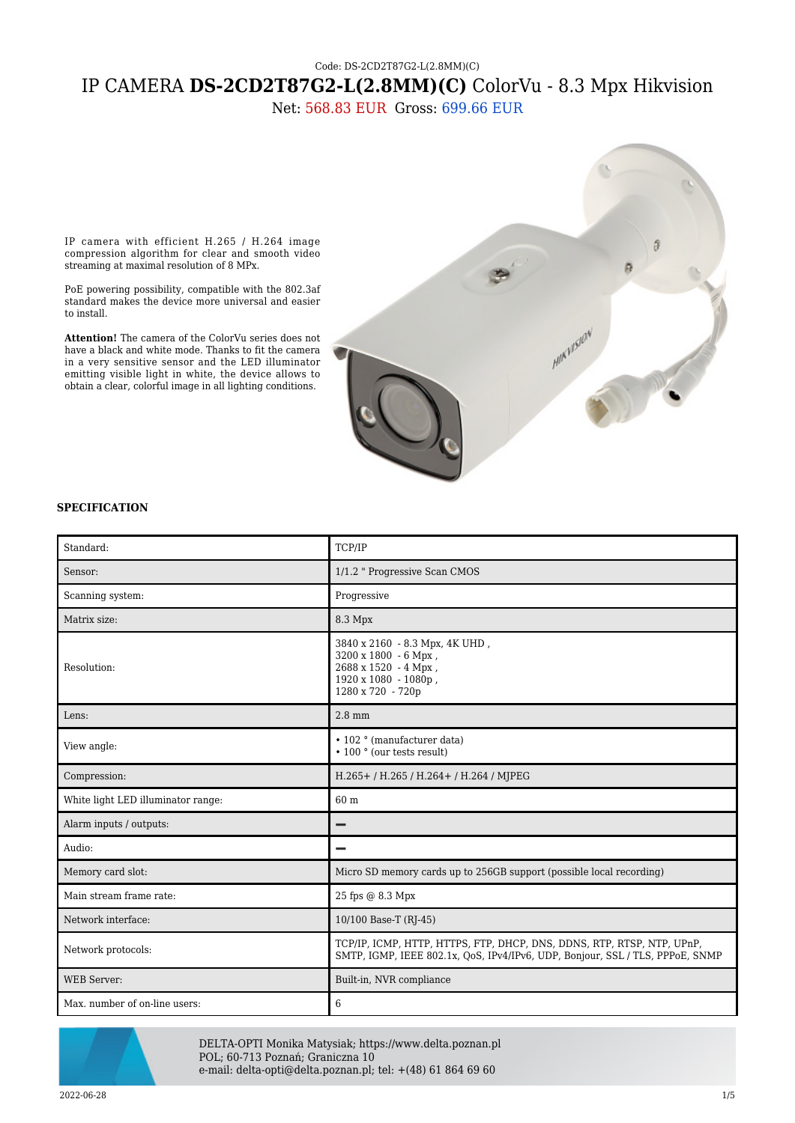# Code: DS-2CD2T87G2-L(2.8MM)(C) IP CAMERA **DS-2CD2T87G2-L(2.8MM)(C)** ColorVu - 8.3 Mpx Hikvision

Net: 568.83 EUR Gross: 699.66 EUR

IP camera with efficient H.265 / H.264 image compression algorithm for clear and smooth video streaming at maximal resolution of 8 MPx.

PoE powering possibility, compatible with the 802.3af standard makes the device more universal and easier to install.

**Attention!** The camera of the ColorVu series does not have a black and white mode. Thanks to fit the camera in a very sensitive sensor and the LED illuminator emitting visible light in white, the device allows to obtain a clear, colorful image in all lighting conditions.



### **SPECIFICATION**

| Standard:                          | TCP/IP                                                                                                                                                  |
|------------------------------------|---------------------------------------------------------------------------------------------------------------------------------------------------------|
| Sensor:                            | 1/1.2 " Progressive Scan CMOS                                                                                                                           |
| Scanning system:                   | Progressive                                                                                                                                             |
| Matrix size:                       | 8.3 Mpx                                                                                                                                                 |
| Resolution:                        | 3840 x 2160 - 8.3 Mpx, 4K UHD,<br>3200 x 1800 - 6 Mpx,<br>2688 x 1520 - 4 Mpx,<br>1920 x 1080 - 1080p,<br>1280 x 720 - 720p                             |
| Lens:                              | $2.8$ mm                                                                                                                                                |
| View angle:                        | • 102 ° (manufacturer data)<br>• 100 ° (our tests result)                                                                                               |
| Compression:                       | H.265+/H.265/H.264+/H.264/MJPEG                                                                                                                         |
| White light LED illuminator range: | 60 m                                                                                                                                                    |
| Alarm inputs / outputs:            |                                                                                                                                                         |
| Audio:                             |                                                                                                                                                         |
| Memory card slot:                  | Micro SD memory cards up to 256GB support (possible local recording)                                                                                    |
| Main stream frame rate:            | 25 fps @ 8.3 Mpx                                                                                                                                        |
| Network interface:                 | 10/100 Base-T (RJ-45)                                                                                                                                   |
| Network protocols:                 | TCP/IP, ICMP, HTTP, HTTPS, FTP, DHCP, DNS, DDNS, RTP, RTSP, NTP, UPnP,<br>SMTP, IGMP, IEEE 802.1x, OoS, IPv4/IPv6, UDP, Bonjour, SSL / TLS, PPPoE, SNMP |
| <b>WEB Server:</b>                 | Built-in, NVR compliance                                                                                                                                |
| Max. number of on-line users:      | 6                                                                                                                                                       |



DELTA-OPTI Monika Matysiak; https://www.delta.poznan.pl POL; 60-713 Poznań; Graniczna 10 e-mail: delta-opti@delta.poznan.pl; tel: +(48) 61 864 69 60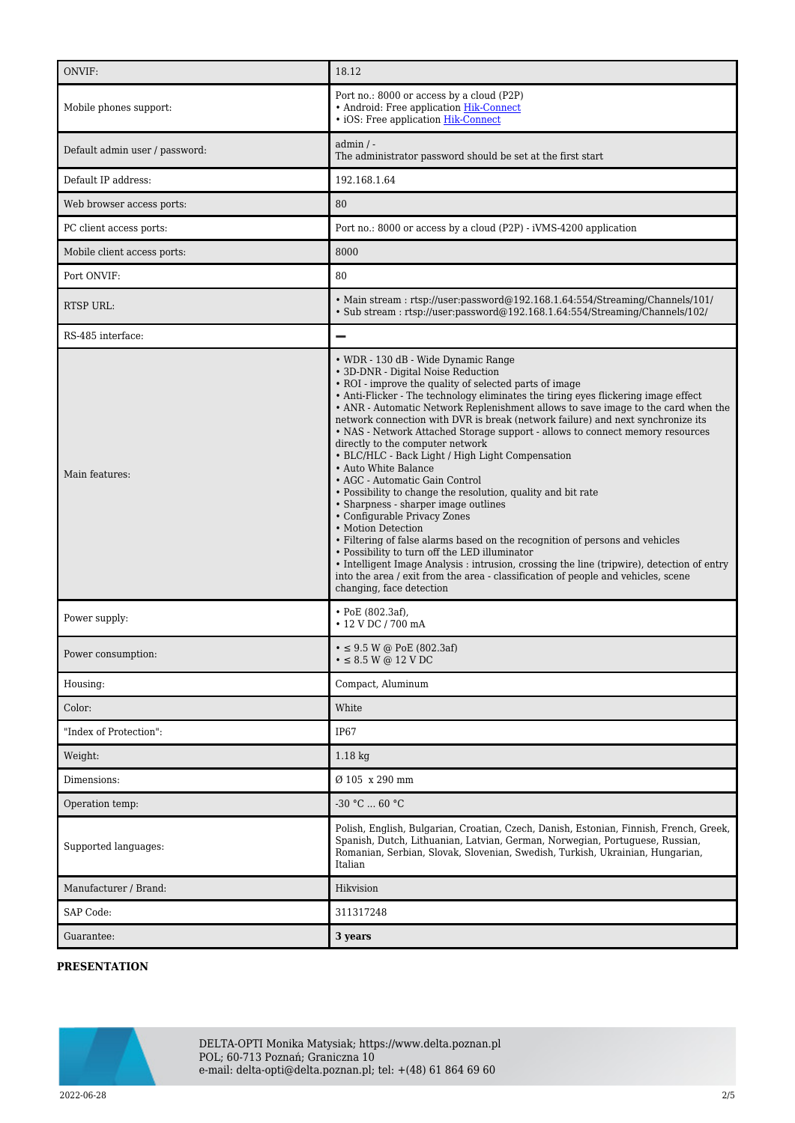| ONVIF:                         | 18.12                                                                                                                                                                                                                                                                                                                                                                                                                                                                                                                                                                                                                                                                                                                                                                                                                                                                                                                                                                                                                                                                                                                                              |
|--------------------------------|----------------------------------------------------------------------------------------------------------------------------------------------------------------------------------------------------------------------------------------------------------------------------------------------------------------------------------------------------------------------------------------------------------------------------------------------------------------------------------------------------------------------------------------------------------------------------------------------------------------------------------------------------------------------------------------------------------------------------------------------------------------------------------------------------------------------------------------------------------------------------------------------------------------------------------------------------------------------------------------------------------------------------------------------------------------------------------------------------------------------------------------------------|
| Mobile phones support:         | Port no.: 8000 or access by a cloud (P2P)<br>• Android: Free application Hik-Connect<br>· iOS: Free application Hik-Connect                                                                                                                                                                                                                                                                                                                                                                                                                                                                                                                                                                                                                                                                                                                                                                                                                                                                                                                                                                                                                        |
| Default admin user / password: | $admin / -$<br>The administrator password should be set at the first start                                                                                                                                                                                                                                                                                                                                                                                                                                                                                                                                                                                                                                                                                                                                                                                                                                                                                                                                                                                                                                                                         |
| Default IP address:            | 192.168.1.64                                                                                                                                                                                                                                                                                                                                                                                                                                                                                                                                                                                                                                                                                                                                                                                                                                                                                                                                                                                                                                                                                                                                       |
| Web browser access ports:      | 80                                                                                                                                                                                                                                                                                                                                                                                                                                                                                                                                                                                                                                                                                                                                                                                                                                                                                                                                                                                                                                                                                                                                                 |
| PC client access ports:        | Port no.: 8000 or access by a cloud (P2P) - iVMS-4200 application                                                                                                                                                                                                                                                                                                                                                                                                                                                                                                                                                                                                                                                                                                                                                                                                                                                                                                                                                                                                                                                                                  |
| Mobile client access ports:    | 8000                                                                                                                                                                                                                                                                                                                                                                                                                                                                                                                                                                                                                                                                                                                                                                                                                                                                                                                                                                                                                                                                                                                                               |
| Port ONVIF:                    | 80                                                                                                                                                                                                                                                                                                                                                                                                                                                                                                                                                                                                                                                                                                                                                                                                                                                                                                                                                                                                                                                                                                                                                 |
| RTSP URL:                      | • Main stream: rtsp://user.password@192.168.1.64:554/Streaming/Channels/101/<br>• Sub stream: rtsp://user.password@192.168.1.64.554/Streaming/Channels/102/                                                                                                                                                                                                                                                                                                                                                                                                                                                                                                                                                                                                                                                                                                                                                                                                                                                                                                                                                                                        |
| RS-485 interface:              |                                                                                                                                                                                                                                                                                                                                                                                                                                                                                                                                                                                                                                                                                                                                                                                                                                                                                                                                                                                                                                                                                                                                                    |
| Main features:                 | • WDR - 130 dB - Wide Dynamic Range<br>• 3D-DNR - Digital Noise Reduction<br>• ROI - improve the quality of selected parts of image<br>• Anti-Flicker - The technology eliminates the tiring eyes flickering image effect<br>• ANR - Automatic Network Replenishment allows to save image to the card when the<br>network connection with DVR is break (network failure) and next synchronize its<br>• NAS - Network Attached Storage support - allows to connect memory resources<br>directly to the computer network<br>• BLC/HLC - Back Light / High Light Compensation<br>• Auto White Balance<br>• AGC - Automatic Gain Control<br>• Possibility to change the resolution, quality and bit rate<br>• Sharpness - sharper image outlines<br>• Configurable Privacy Zones<br>• Motion Detection<br>• Filtering of false alarms based on the recognition of persons and vehicles<br>• Possibility to turn off the LED illuminator<br>• Intelligent Image Analysis : intrusion, crossing the line (tripwire), detection of entry<br>into the area / exit from the area - classification of people and vehicles, scene<br>changing, face detection |
| Power supply:                  | $\cdot$ PoE (802.3af),<br>• 12 V DC / 700 mA                                                                                                                                                                                                                                                                                                                                                                                                                                                                                                                                                                                                                                                                                                                                                                                                                                                                                                                                                                                                                                                                                                       |
| Power consumption:             | $\cdot \leq 9.5$ W @ PoE (802.3af)<br>$\bullet \leq 8.5$ W @ 12 V DC                                                                                                                                                                                                                                                                                                                                                                                                                                                                                                                                                                                                                                                                                                                                                                                                                                                                                                                                                                                                                                                                               |
| Housing:                       | Compact, Aluminum                                                                                                                                                                                                                                                                                                                                                                                                                                                                                                                                                                                                                                                                                                                                                                                                                                                                                                                                                                                                                                                                                                                                  |
| Color:                         | White                                                                                                                                                                                                                                                                                                                                                                                                                                                                                                                                                                                                                                                                                                                                                                                                                                                                                                                                                                                                                                                                                                                                              |
| "Index of Protection":         | <b>IP67</b>                                                                                                                                                                                                                                                                                                                                                                                                                                                                                                                                                                                                                                                                                                                                                                                                                                                                                                                                                                                                                                                                                                                                        |
| Weight:                        | $1.18$ kg                                                                                                                                                                                                                                                                                                                                                                                                                                                                                                                                                                                                                                                                                                                                                                                                                                                                                                                                                                                                                                                                                                                                          |
| Dimensions:                    | Ø 105 x 290 mm                                                                                                                                                                                                                                                                                                                                                                                                                                                                                                                                                                                                                                                                                                                                                                                                                                                                                                                                                                                                                                                                                                                                     |
| Operation temp:                | $-30 °C  60 °C$                                                                                                                                                                                                                                                                                                                                                                                                                                                                                                                                                                                                                                                                                                                                                                                                                                                                                                                                                                                                                                                                                                                                    |
| Supported languages:           | Polish, English, Bulgarian, Croatian, Czech, Danish, Estonian, Finnish, French, Greek,<br>Spanish, Dutch, Lithuanian, Latvian, German, Norwegian, Portuguese, Russian,<br>Romanian, Serbian, Slovak, Slovenian, Swedish, Turkish, Ukrainian, Hungarian,<br>Italian                                                                                                                                                                                                                                                                                                                                                                                                                                                                                                                                                                                                                                                                                                                                                                                                                                                                                 |
| Manufacturer / Brand:          | Hikvision                                                                                                                                                                                                                                                                                                                                                                                                                                                                                                                                                                                                                                                                                                                                                                                                                                                                                                                                                                                                                                                                                                                                          |
| SAP Code:                      | 311317248                                                                                                                                                                                                                                                                                                                                                                                                                                                                                                                                                                                                                                                                                                                                                                                                                                                                                                                                                                                                                                                                                                                                          |
| Guarantee:                     | 3 years                                                                                                                                                                                                                                                                                                                                                                                                                                                                                                                                                                                                                                                                                                                                                                                                                                                                                                                                                                                                                                                                                                                                            |

### **PRESENTATION**

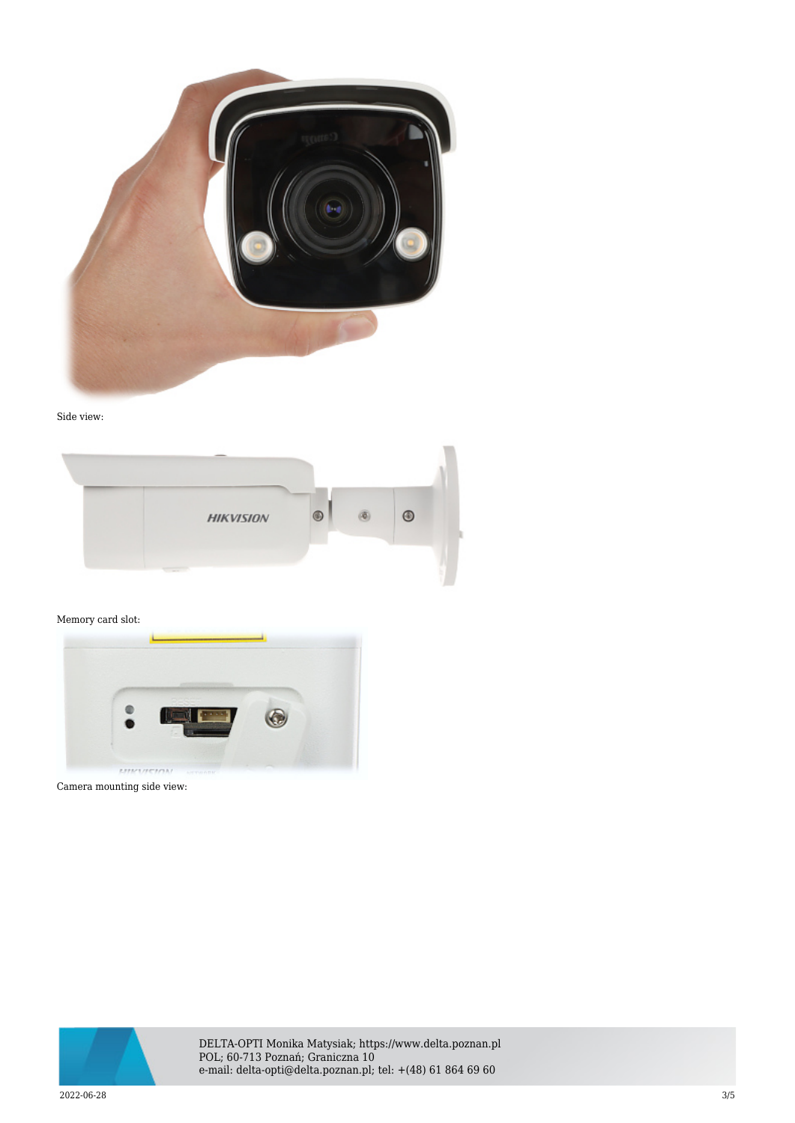





#### Memory card slot:



Camera mounting side view:



DELTA-OPTI Monika Matysiak; https://www.delta.poznan.pl POL; 60-713 Poznań; Graniczna 10 e-mail: delta-opti@delta.poznan.pl; tel: +(48) 61 864 69 60

2022-06-28 3/5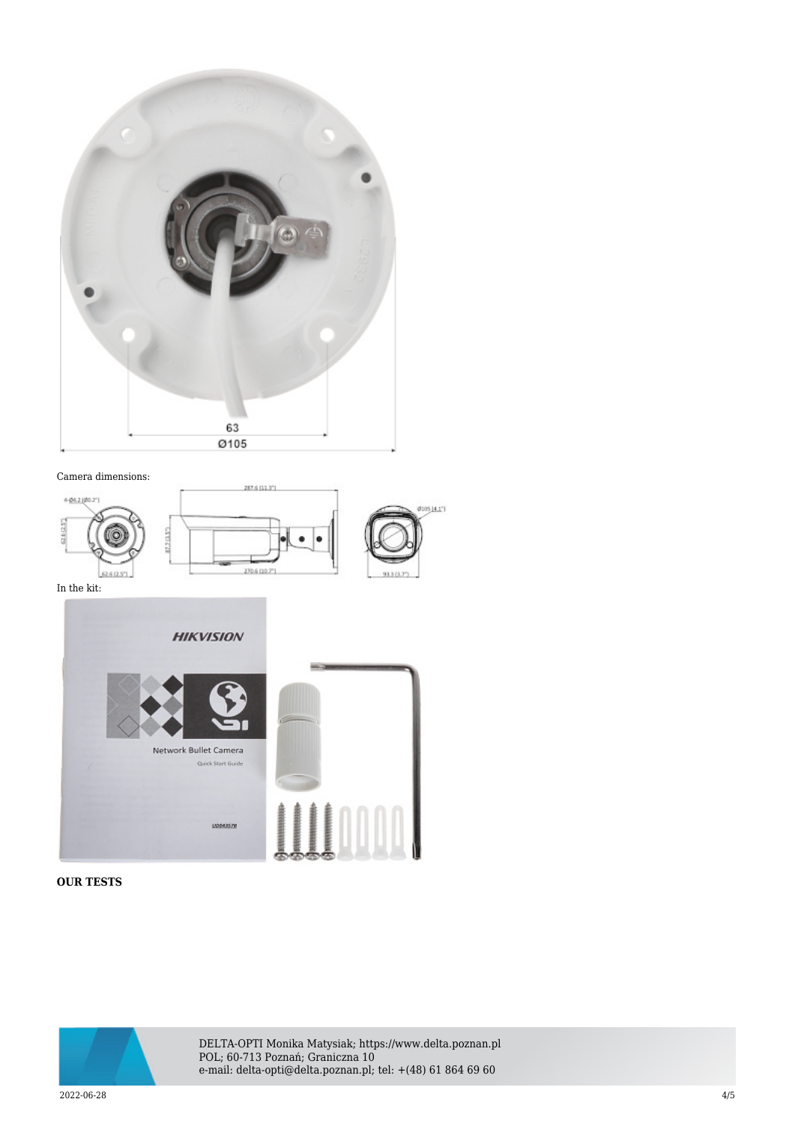

#### Camera dimensions:



In the kit:



## **OUR TESTS**



DELTA-OPTI Monika Matysiak; https://www.delta.poznan.pl POL; 60-713 Poznań; Graniczna 10 e-mail: delta-opti@delta.poznan.pl; tel: +(48) 61 864 69 60

2022-06-28 4/5